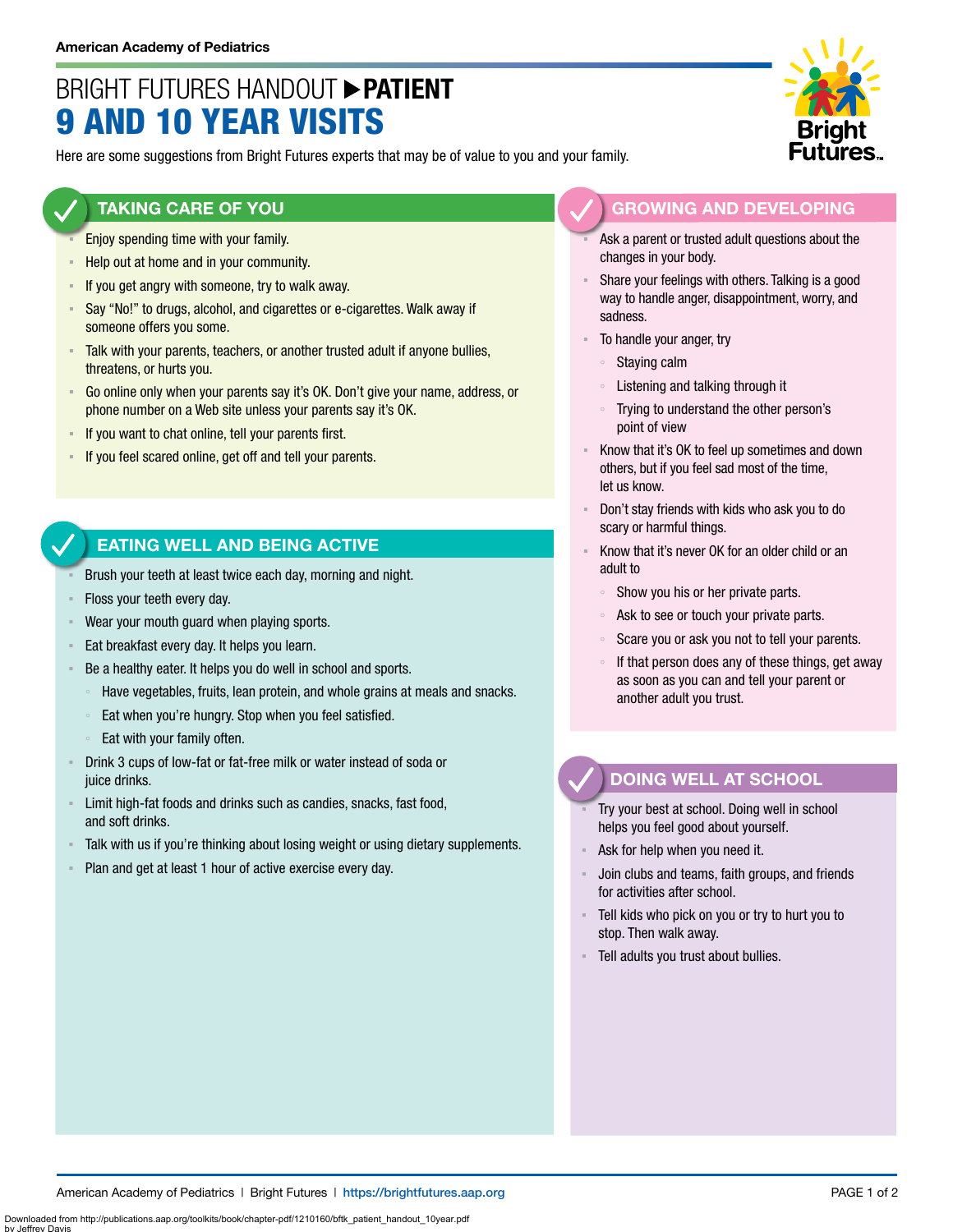# BRIGHT FUTURES HANDOUT **PATIENT** 9 AND 10 YEAR VISITS

Here are some suggestions from Bright Futures experts that may be of value to you and your family.

#### **TAKING CARE OF YOU**

- Enjoy spending time with your family.
- Help out at home and in your community.
- **EXED If you get angry with someone, try to walk away.**
- Say "No!" to drugs, alcohol, and cigarettes or e-cigarettes. Walk away if someone offers you some.
- Talk with your parents, teachers, or another trusted adult if anyone bullies, threatens, or hurts you.
- Go online only when your parents say it's OK. Don't give your name, address, or phone number on a Web site unless your parents say it's OK.
- If you want to chat online, tell your parents first.
- If you feel scared online, get off and tell your parents.

### **EATING WELL AND BEING ACTIVE**

- Brush your teeth at least twice each day, morning and night.
- Floss your teeth every day.
- Wear your mouth guard when playing sports.
- **Eat breakfast every day. It helps you learn.**
- Be a healthy eater. It helps you do well in school and sports.
	- Have vegetables, fruits, lean protein, and whole grains at meals and snacks.
- Eat when you're hungry. Stop when you feel satisfied.
- Eat with your family often.
- Drink 3 cups of low-fat or fat-free milk or water instead of soda or juice drinks.
- **EXECT** Limit high-fat foods and drinks such as candies, snacks, fast food, and soft drinks.
- Talk with us if you're thinking about losing weight or using dietary supplements.
- Plan and get at least 1 hour of active exercise every day.



- Ask a parent or trusted adult questions about the changes in your body.
- Share your feelings with others. Talking is a good way to handle anger, disappointment, worry, and sadness.
- To handle your anger, try
	- Staying calm
	- Listening and talking through it
	- Trying to understand the other person's point of view
- Know that it's OK to feel up sometimes and down others, but if you feel sad most of the time, let us know.
- Don't stay friends with kids who ask you to do scary or harmful things.
- Know that it's never OK for an older child or an adult to
	- Show you his or her private parts.
	- Ask to see or touch your private parts.
	- Scare you or ask you not to tell your parents.
	- If that person does any of these things, get away as soon as you can and tell your parent or another adult you trust.

## **DOING WELL AT SCHOOL**

- Try your best at school. Doing well in school helps you feel good about yourself.
- Ask for help when you need it.
- Join clubs and teams, faith groups, and friends for activities after school.
- Tell kids who pick on you or try to hurt you to stop. Then walk away.
- Tell adults you trust about bullies.